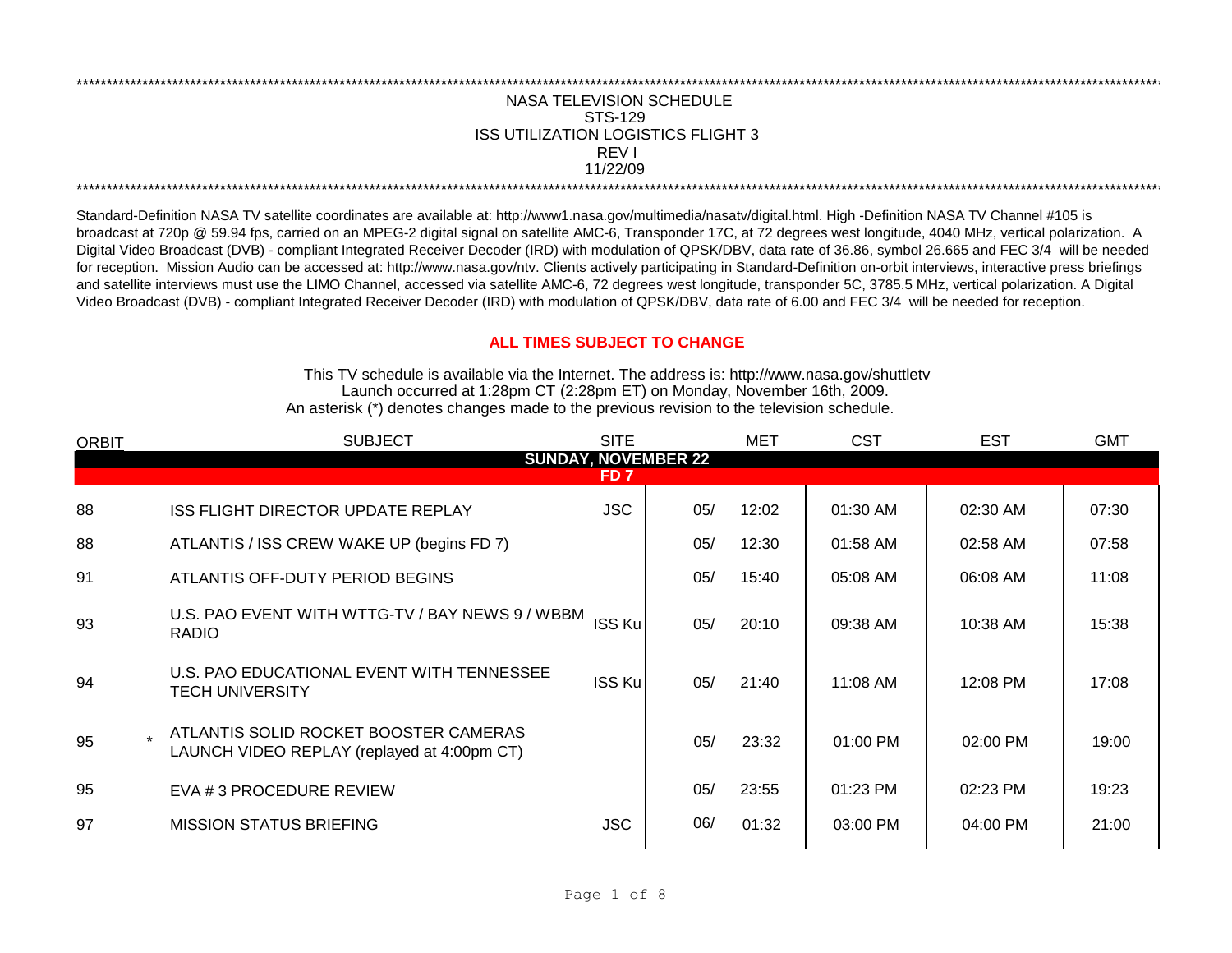## NASA TELEVISION SCHEDULE STS-129 REV I 11/22/09 \*\*\*\*\*\*\*\*\*\*\*\*\*\*\*\*\*\*\*\*\*\*\*\*\*\*\*\*\*\*\*\*\*\*\*\*\*\*\*\*\*\*\*\*\*\*\*\*\*\*\*\*\*\*\*\*\*\*\*\*\*\*\*\*\*\*\*\*\*\*\*\*\*\*\*\*\*\*\*\*\*\*\*\*\*\*\*\*\*\*\*\*\*\*\*\*\*\*\*\*\*\*\*\*\*\*\*\*\*\*\*\*\*\*\*\*\*\*\*\*\*\*\*\*\*\*\*\*\*\*\*\*\*\*\*\*\*\*\*\*\*\*\*\*\*\*\*\*\*\*\*\*\*\*\*\*\*\*\*\*\*\*\*\*\*\*\*\*\*\*\*\*\*\*\*\*\*\*\*\*\*\*\*\*\* ISS UTILIZATION LOGISTICS FLIGHT 3

\*\*\*\*\*\*\*\*\*\*\*\*\*\*\*\*\*\*\*\*\*\*\*\*\*\*\*\*\*\*\*\*\*\*\*\*\*\*\*\*\*\*\*\*\*\*\*\*\*\*\*\*\*\*\*\*\*\*\*\*\*\*\*\*\*\*\*\*\*\*\*\*\*\*\*\*\*\*\*\*\*\*\*\*\*\*\*\*\*\*\*\*\*\*\*\*\*\*\*\*\*\*\*\*\*\*\*\*\*\*\*\*\*\*\*\*\*\*\*\*\*\*\*\*\*\*\*\*\*\*\*\*\*\*\*\*\*\*\*\*\*\*\*\*\*\*\*\*\*\*\*\*\*\*\*\*\*\*\*\*\*\*\*\*\*\*\*\*\*\*\*\*\*\*\*\*\*\*\*\*\*\*\*\*\*

Standard-Definition NASA TV satellite coordinates are available at: http://www1.nasa.gov/multimedia/nasatv/digital.html. High -Definition NASA TV Channel #105 is broadcast at 720p @ 59.94 fps, carried on an MPEG-2 digital signal on satellite AMC-6, Transponder 17C, at 72 degrees west longitude, 4040 MHz, vertical polarization. A Digital Video Broadcast (DVB) - compliant Integrated Receiver Decoder (IRD) with modulation of QPSK/DBV, data rate of 36.86, symbol 26.665 and FEC 3/4 will be needed for reception. Mission Audio can be accessed at: http://www.nasa.gov/ntv. Clients actively participating in Standard-Definition on-orbit interviews, interactive press briefings and satellite interviews must use the LIMO Channel, accessed via satellite AMC-6, 72 degrees west longitude, transponder 5C, 3785.5 MHz, vertical polarization. A Digital Video Broadcast (DVB) - compliant Integrated Receiver Decoder (IRD) with modulation of QPSK/DBV, data rate of 6.00 and FEC 3/4 will be needed for reception.

## **ALL TIMES SUBJECT TO CHANGE**

Launch occurred at 1:28pm CT (2:28pm ET) on Monday, November 16th, 2009. An asterisk (\*) denotes changes made to the previous revision to the television schedule. This TV schedule is available via the Internet. The address is: http://www.nasa.gov/shuttletv

| <b>ORBIT</b> | <b>SUBJECT</b>                                                                       | <b>SITE</b>     |                            | MET   | <b>CST</b> | <b>EST</b> | <b>GMT</b> |
|--------------|--------------------------------------------------------------------------------------|-----------------|----------------------------|-------|------------|------------|------------|
|              |                                                                                      |                 | <b>SUNDAY, NOVEMBER 22</b> |       |            |            |            |
|              |                                                                                      | FD <sub>7</sub> |                            |       |            |            |            |
| 88           | ISS FLIGHT DIRECTOR UPDATE REPLAY                                                    | <b>JSC</b>      | 05/                        | 12:02 | 01:30 AM   | 02:30 AM   | 07:30      |
| 88           | ATLANTIS / ISS CREW WAKE UP (begins FD 7)                                            |                 | 05/                        | 12:30 | 01:58 AM   | 02:58 AM   | 07:58      |
| 91           | ATLANTIS OFF-DUTY PERIOD BEGINS                                                      |                 | 05/                        | 15:40 | 05:08 AM   | 06:08 AM   | 11:08      |
| 93           | U.S. PAO EVENT WITH WTTG-TV / BAY NEWS 9 / WBBM<br><b>RADIO</b>                      | ISS Ku          | 05/                        | 20:10 | 09:38 AM   | 10:38 AM   | 15:38      |
| 94           | U.S. PAO EDUCATIONAL EVENT WITH TENNESSEE<br><b>TECH UNIVERSITY</b>                  | <b>ISS Ku</b>   | 05/                        | 21:40 | 11:08 AM   | 12:08 PM   | 17:08      |
| 95           | ATLANTIS SOLID ROCKET BOOSTER CAMERAS<br>LAUNCH VIDEO REPLAY (replayed at 4:00pm CT) |                 | 05/                        | 23:32 | $01:00$ PM | $02:00$ PM | 19:00      |
| 95           | EVA # 3 PROCEDURE REVIEW                                                             |                 | 05/                        | 23:55 | $01:23$ PM | 02:23 PM   | 19:23      |
| 97           | <b>MISSION STATUS BRIEFING</b>                                                       | <b>JSC</b>      | 06/                        | 01:32 | 03:00 PM   | 04:00 PM   | 21:00      |
|              |                                                                                      |                 |                            |       |            |            |            |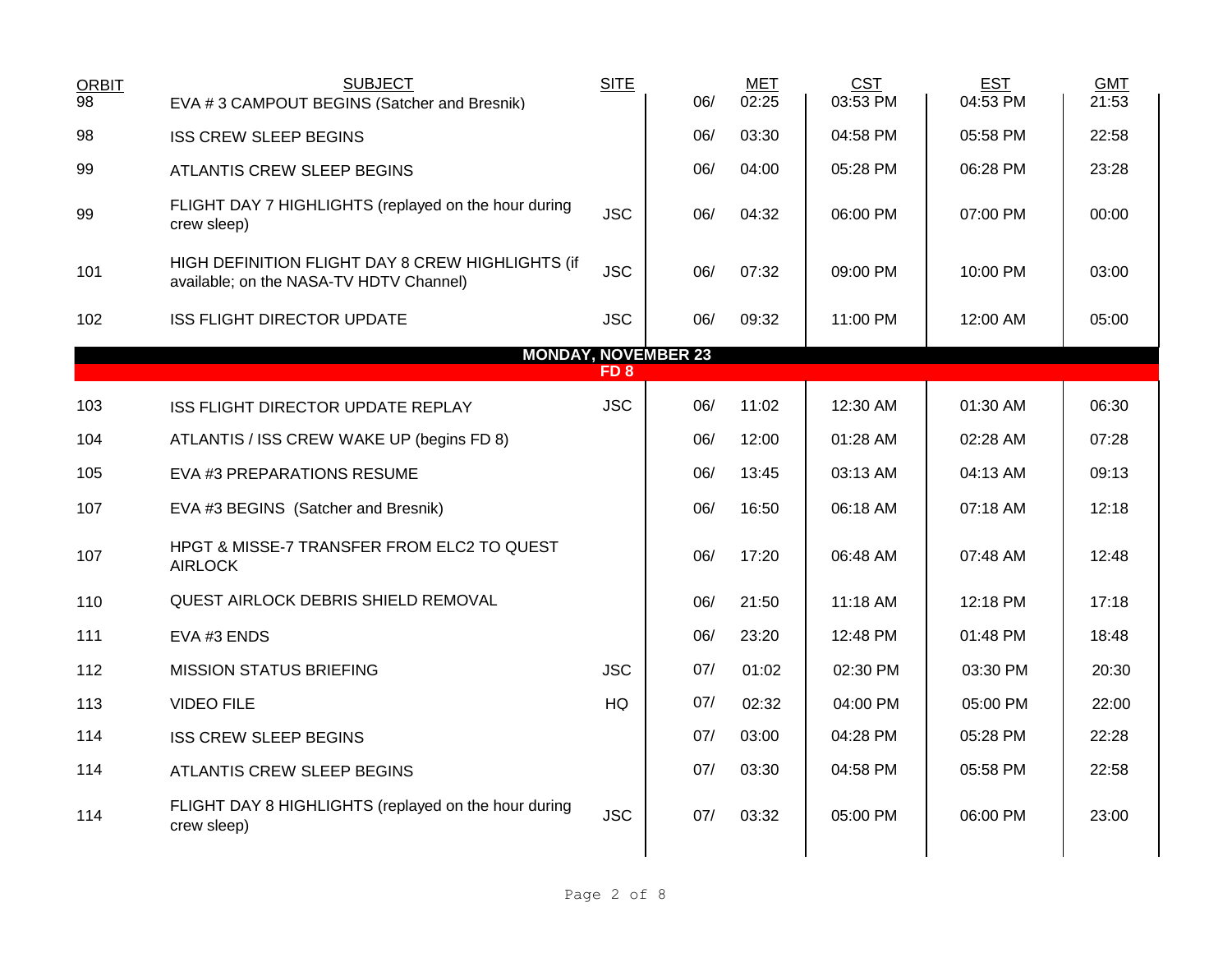| <b>SUBJECT</b><br>EVA #3 CAMPOUT BEGINS (Satcher and Bresnik)                               | <b>SITE</b> | 06/             | <b>MET</b><br>02:25        | <b>CST</b><br>03:53 PM | <b>EST</b><br>04:53 PM | <b>GMT</b><br>21:53 |
|---------------------------------------------------------------------------------------------|-------------|-----------------|----------------------------|------------------------|------------------------|---------------------|
| <b>ISS CREW SLEEP BEGINS</b>                                                                |             | 06/             | 03:30                      | 04:58 PM               | 05:58 PM               | 22:58               |
| ATLANTIS CREW SLEEP BEGINS                                                                  |             | 06/             | 04:00                      | 05:28 PM               | 06:28 PM               | 23:28               |
| FLIGHT DAY 7 HIGHLIGHTS (replayed on the hour during<br>crew sleep)                         | <b>JSC</b>  | 06/             | 04:32                      | 06:00 PM               | 07:00 PM               | 00:00               |
| HIGH DEFINITION FLIGHT DAY 8 CREW HIGHLIGHTS (if<br>available; on the NASA-TV HDTV Channel) | <b>JSC</b>  | 06/             | 07:32                      | 09:00 PM               | 10:00 PM               | 03:00               |
| <b>ISS FLIGHT DIRECTOR UPDATE</b>                                                           | <b>JSC</b>  | 06/             | 09:32                      | 11:00 PM               | 12:00 AM               | 05:00               |
|                                                                                             |             |                 |                            |                        |                        |                     |
|                                                                                             |             |                 |                            |                        |                        |                     |
| ISS FLIGHT DIRECTOR UPDATE REPLAY                                                           | <b>JSC</b>  | 06/             | 11:02                      | 12:30 AM               | 01:30 AM               | 06:30               |
| ATLANTIS / ISS CREW WAKE UP (begins FD 8)                                                   |             | 06/             | 12:00                      | 01:28 AM               | 02:28 AM               | 07:28               |
| EVA #3 PREPARATIONS RESUME                                                                  |             | 06/             | 13:45                      | 03:13 AM               | 04:13 AM               | 09:13               |
| EVA #3 BEGINS (Satcher and Bresnik)                                                         |             | 06/             | 16:50                      | 06:18 AM               | 07:18 AM               | 12:18               |
| HPGT & MISSE-7 TRANSFER FROM ELC2 TO QUEST<br><b>AIRLOCK</b>                                |             | 06/             | 17:20                      | 06:48 AM               | 07:48 AM               | 12:48               |
| QUEST AIRLOCK DEBRIS SHIELD REMOVAL                                                         |             | 06/             | 21:50                      | 11:18 AM               | 12:18 PM               | 17:18               |
| EVA #3 ENDS                                                                                 |             | 06/             | 23:20                      | 12:48 PM               | 01:48 PM               | 18:48               |
| <b>MISSION STATUS BRIEFING</b>                                                              | <b>JSC</b>  | 07/             | 01:02                      | 02:30 PM               | 03:30 PM               | 20:30               |
| <b>VIDEO FILE</b>                                                                           | HQ          | 07/             | 02:32                      | 04:00 PM               | 05:00 PM               | 22:00               |
| <b>ISS CREW SLEEP BEGINS</b>                                                                |             | 07/             | 03:00                      | 04:28 PM               | 05:28 PM               | 22:28               |
| ATLANTIS CREW SLEEP BEGINS                                                                  |             | 07/             | 03:30                      | 04:58 PM               | 05:58 PM               | 22:58               |
| FLIGHT DAY 8 HIGHLIGHTS (replayed on the hour during<br>crew sleep)                         | <b>JSC</b>  | 07/             | 03:32                      | 05:00 PM               | 06:00 PM               | 23:00               |
|                                                                                             |             | FD <sub>8</sub> | <b>MONDAY, NOVEMBER 23</b> |                        |                        |                     |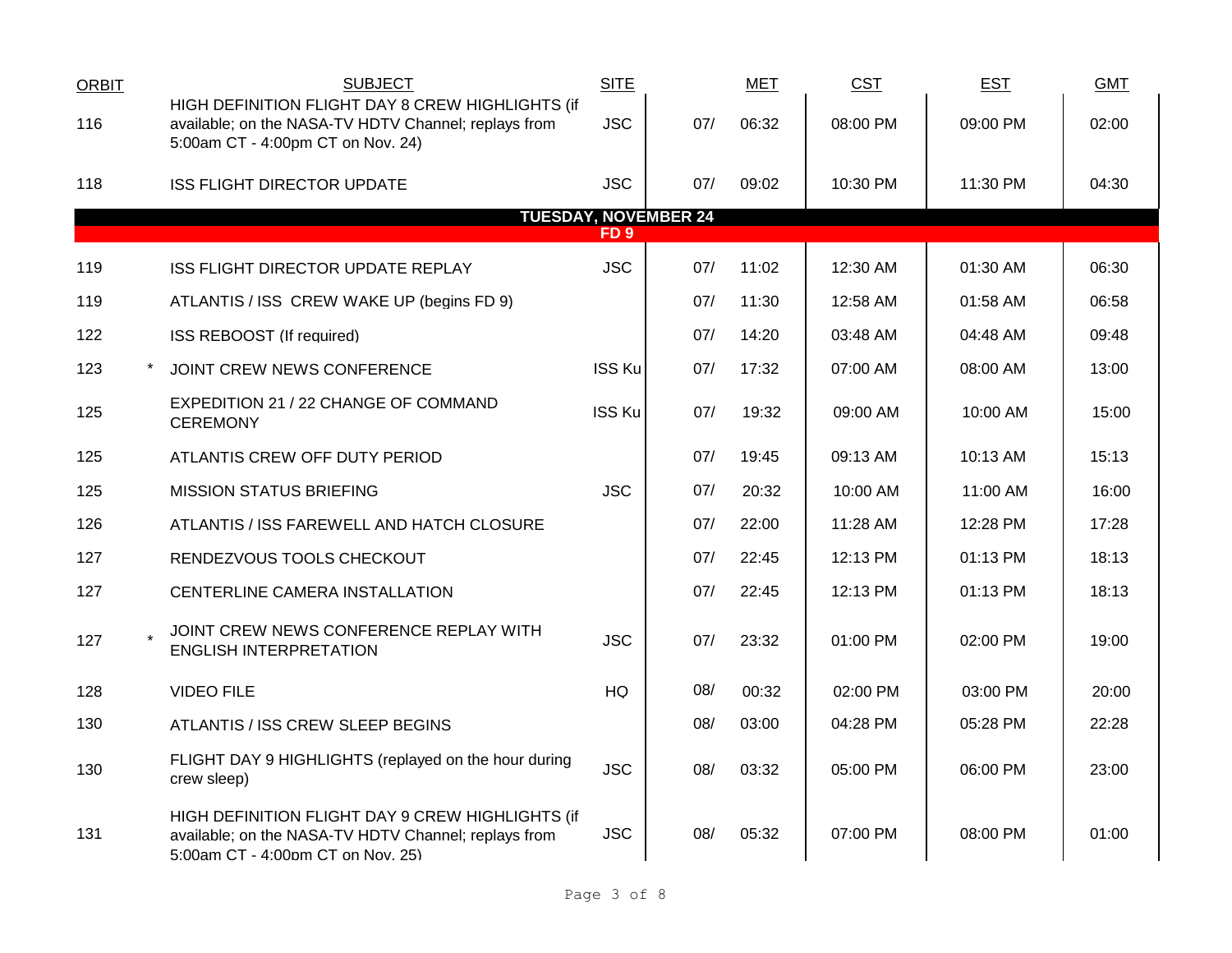| <b>ORBIT</b> | <b>SUBJECT</b>                                                                                                                                | <b>SITE</b>   |                             | <b>MET</b> | <b>CST</b> | <b>EST</b> | <b>GMT</b> |
|--------------|-----------------------------------------------------------------------------------------------------------------------------------------------|---------------|-----------------------------|------------|------------|------------|------------|
| 116          | HIGH DEFINITION FLIGHT DAY 8 CREW HIGHLIGHTS (if<br>available; on the NASA-TV HDTV Channel; replays from<br>5:00am CT - 4:00pm CT on Nov. 24) | <b>JSC</b>    | 07/                         | 06:32      | 08:00 PM   | 09:00 PM   | 02:00      |
| 118          | <b>ISS FLIGHT DIRECTOR UPDATE</b>                                                                                                             | <b>JSC</b>    | 07/                         | 09:02      | 10:30 PM   | 11:30 PM   | 04:30      |
|              |                                                                                                                                               | FD 9          | <b>TUESDAY, NOVEMBER 24</b> |            |            |            |            |
| 119          | ISS FLIGHT DIRECTOR UPDATE REPLAY                                                                                                             | <b>JSC</b>    | 07/                         | 11:02      | 12:30 AM   | 01:30 AM   | 06:30      |
| 119          | ATLANTIS / ISS CREW WAKE UP (begins FD 9)                                                                                                     |               | 07/                         | 11:30      | 12:58 AM   | 01:58 AM   | 06:58      |
| 122          | ISS REBOOST (If required)                                                                                                                     |               | 07/                         | 14:20      | 03:48 AM   | 04:48 AM   | 09:48      |
| 123          | JOINT CREW NEWS CONFERENCE                                                                                                                    | <b>ISS Ku</b> | 07/                         | 17:32      | 07:00 AM   | 08:00 AM   | 13:00      |
| 125          | EXPEDITION 21 / 22 CHANGE OF COMMAND<br><b>CEREMONY</b>                                                                                       | <b>ISS Ku</b> | 07/                         | 19:32      | 09:00 AM   | 10:00 AM   | 15:00      |
| 125          | ATLANTIS CREW OFF DUTY PERIOD                                                                                                                 |               | 07/                         | 19:45      | 09:13 AM   | 10:13 AM   | 15:13      |
| 125          | <b>MISSION STATUS BRIEFING</b>                                                                                                                | <b>JSC</b>    | 07/                         | 20:32      | 10:00 AM   | 11:00 AM   | 16:00      |
| 126          | ATLANTIS / ISS FAREWELL AND HATCH CLOSURE                                                                                                     |               | 07/                         | 22:00      | 11:28 AM   | 12:28 PM   | 17:28      |
| 127          | RENDEZVOUS TOOLS CHECKOUT                                                                                                                     |               | 07/                         | 22:45      | 12:13 PM   | 01:13 PM   | 18:13      |
| 127          | CENTERLINE CAMERA INSTALLATION                                                                                                                |               | 07/                         | 22:45      | 12:13 PM   | 01:13 PM   | 18:13      |
| 127          | JOINT CREW NEWS CONFERENCE REPLAY WITH<br><b>ENGLISH INTERPRETATION</b>                                                                       | <b>JSC</b>    | 07/                         | 23:32      | $01:00$ PM | 02:00 PM   | 19:00      |
| 128          | <b>VIDEO FILE</b>                                                                                                                             | HQ            | 08/                         | 00:32      | 02:00 PM   | 03:00 PM   | 20:00      |
| 130          | ATLANTIS / ISS CREW SLEEP BEGINS                                                                                                              |               | 08/                         | 03:00      | 04:28 PM   | 05:28 PM   | 22:28      |
| 130          | FLIGHT DAY 9 HIGHLIGHTS (replayed on the hour during<br>crew sleep)                                                                           | <b>JSC</b>    | 08/                         | 03:32      | 05:00 PM   | 06:00 PM   | 23:00      |
| 131          | HIGH DEFINITION FLIGHT DAY 9 CREW HIGHLIGHTS (if<br>available; on the NASA-TV HDTV Channel; replays from<br>5:00am CT - 4:00pm CT on Nov. 25) | <b>JSC</b>    | 08/                         | 05:32      | 07:00 PM   | 08:00 PM   | 01:00      |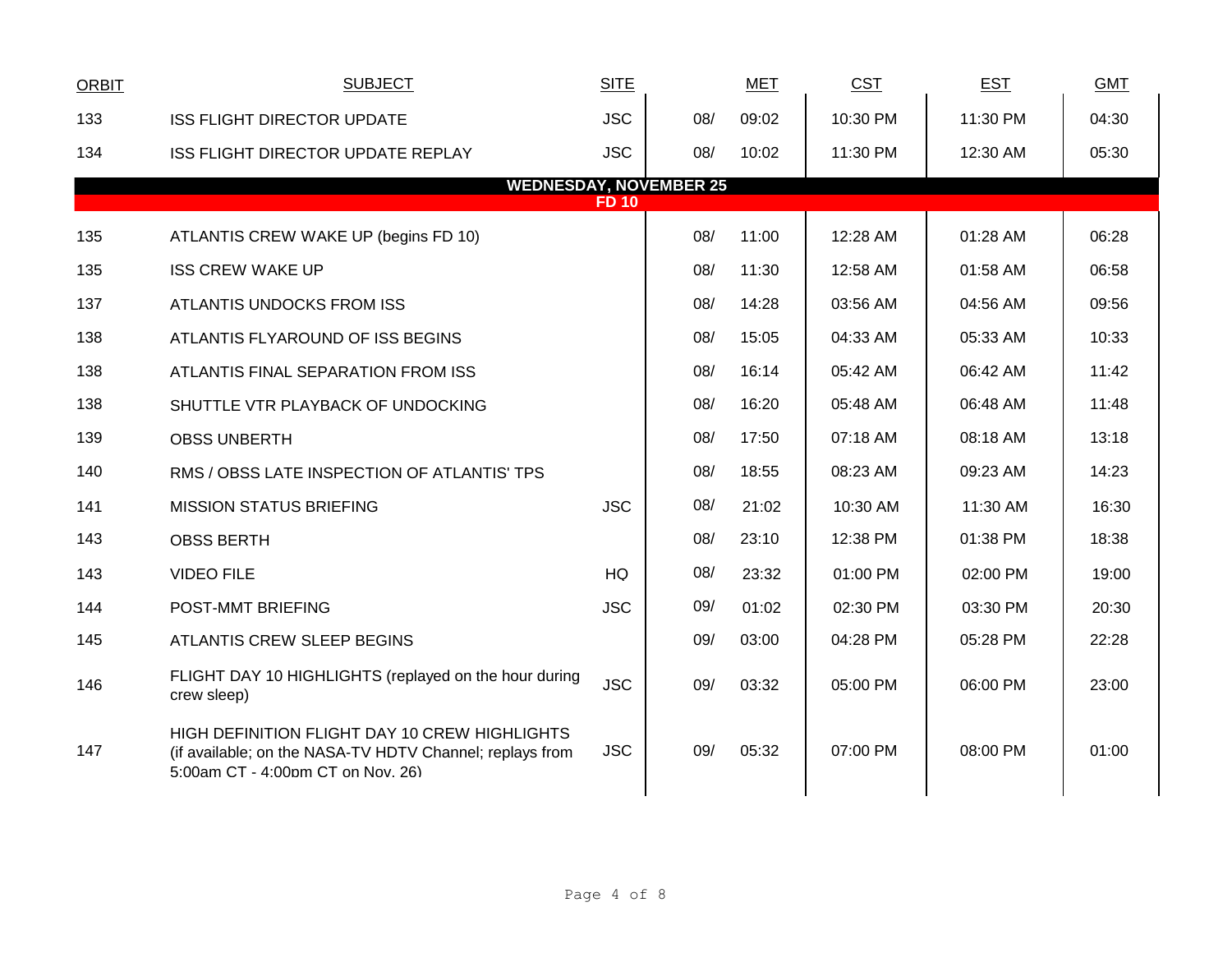| <b>ORBIT</b> | <b>SUBJECT</b>                                                                                                                                 | <b>SITE</b> |     | <b>MET</b> | CST      | <b>EST</b> | <b>GMT</b> |  |
|--------------|------------------------------------------------------------------------------------------------------------------------------------------------|-------------|-----|------------|----------|------------|------------|--|
| 133          | <b>ISS FLIGHT DIRECTOR UPDATE</b>                                                                                                              | <b>JSC</b>  | 08/ | 09:02      | 10:30 PM | 11:30 PM   | 04:30      |  |
| 134          | ISS FLIGHT DIRECTOR UPDATE REPLAY                                                                                                              | <b>JSC</b>  | 08/ | 10:02      | 11:30 PM | 12:30 AM   | 05:30      |  |
|              | <b>WEDNESDAY, NOVEMBER 25</b>                                                                                                                  | <b>FD10</b> |     |            |          |            |            |  |
| 135          | ATLANTIS CREW WAKE UP (begins FD 10)                                                                                                           |             | 08/ | 11:00      | 12:28 AM | 01:28 AM   | 06:28      |  |
| 135          | <b>ISS CREW WAKE UP</b>                                                                                                                        |             | 08/ | 11:30      | 12:58 AM | 01:58 AM   | 06:58      |  |
| 137          | ATLANTIS UNDOCKS FROM ISS                                                                                                                      |             | 08/ | 14:28      | 03:56 AM | 04:56 AM   | 09:56      |  |
| 138          | ATLANTIS FLYAROUND OF ISS BEGINS                                                                                                               |             | 08/ | 15:05      | 04:33 AM | 05:33 AM   | 10:33      |  |
| 138          | ATLANTIS FINAL SEPARATION FROM ISS                                                                                                             |             | 08/ | 16:14      | 05:42 AM | 06:42 AM   | 11:42      |  |
| 138          | SHUTTLE VTR PLAYBACK OF UNDOCKING                                                                                                              |             | 08/ | 16:20      | 05:48 AM | 06:48 AM   | 11:48      |  |
| 139          | <b>OBSS UNBERTH</b>                                                                                                                            |             | 08/ | 17:50      | 07:18 AM | 08:18 AM   | 13:18      |  |
| 140          | RMS / OBSS LATE INSPECTION OF ATLANTIS' TPS                                                                                                    |             | 08/ | 18:55      | 08:23 AM | 09:23 AM   | 14:23      |  |
| 141          | <b>MISSION STATUS BRIEFING</b>                                                                                                                 | <b>JSC</b>  | 08/ | 21:02      | 10:30 AM | 11:30 AM   | 16:30      |  |
| 143          | <b>OBSS BERTH</b>                                                                                                                              |             | 08/ | 23:10      | 12:38 PM | 01:38 PM   | 18:38      |  |
| 143          | <b>VIDEO FILE</b>                                                                                                                              | HQ          | 08/ | 23:32      | 01:00 PM | 02:00 PM   | 19:00      |  |
| 144          | POST-MMT BRIEFING                                                                                                                              | <b>JSC</b>  | 09/ | 01:02      | 02:30 PM | 03:30 PM   | 20:30      |  |
| 145          | ATLANTIS CREW SLEEP BEGINS                                                                                                                     |             | 09/ | 03:00      | 04:28 PM | 05:28 PM   | 22:28      |  |
| 146          | FLIGHT DAY 10 HIGHLIGHTS (replayed on the hour during<br>crew sleep)                                                                           | <b>JSC</b>  | 09/ | 03:32      | 05:00 PM | 06:00 PM   | 23:00      |  |
| 147          | HIGH DEFINITION FLIGHT DAY 10 CREW HIGHLIGHTS<br>(if available; on the NASA-TV HDTV Channel; replays from<br>5:00am CT - 4:00pm CT on Nov. 26) | <b>JSC</b>  | 09/ | 05:32      | 07:00 PM | 08:00 PM   | 01:00      |  |
|              |                                                                                                                                                |             |     |            |          |            |            |  |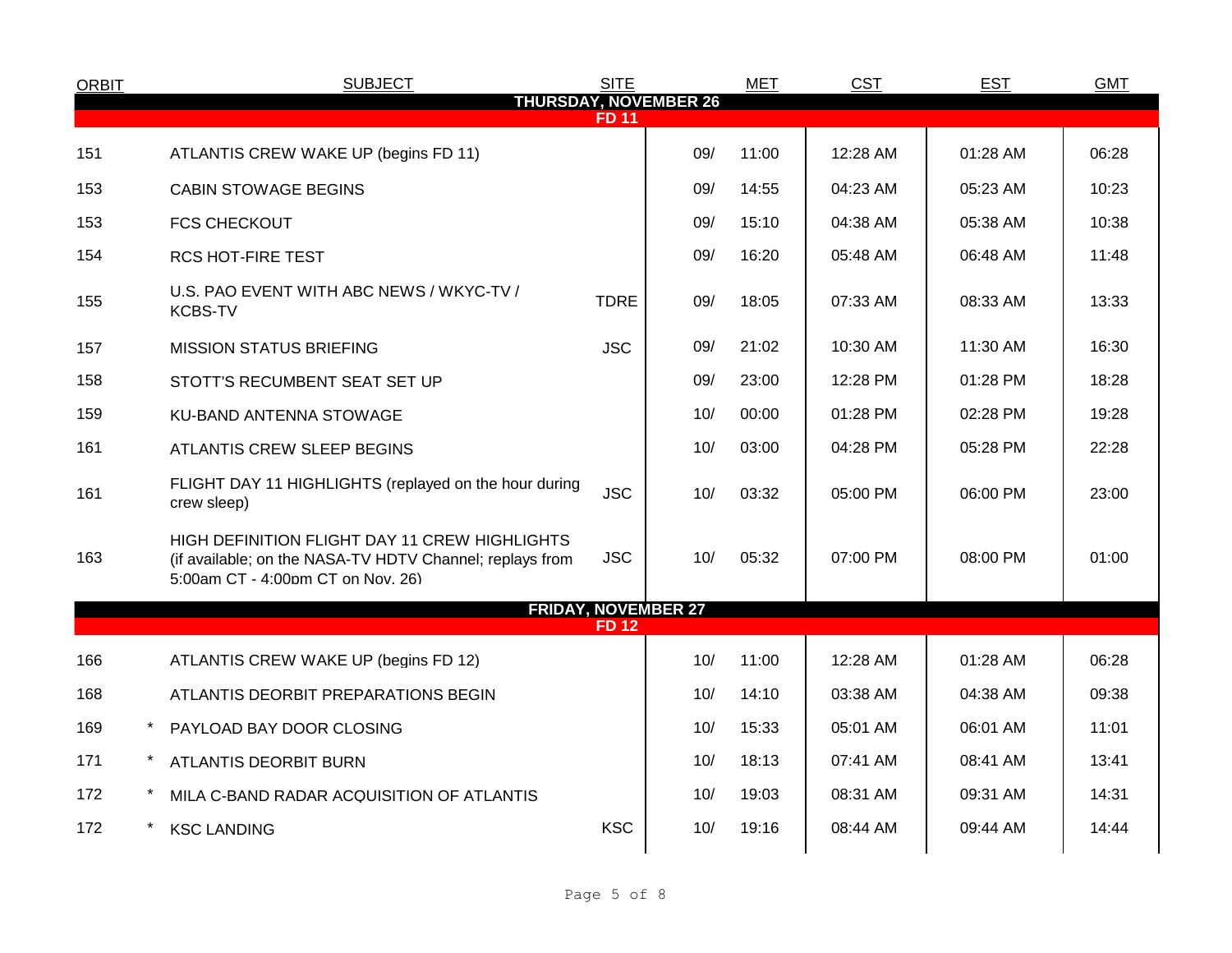| <b>ORBIT</b> | <b>SUBJECT</b>                                                                                                                                 | <b>SITE</b>  |     | <b>MET</b> | <b>CST</b> | <b>EST</b> | <b>GMT</b> |
|--------------|------------------------------------------------------------------------------------------------------------------------------------------------|--------------|-----|------------|------------|------------|------------|
|              | <b>THURSDAY, NOVEMBER 26</b>                                                                                                                   | <b>FD 11</b> |     |            |            |            |            |
| 151          | ATLANTIS CREW WAKE UP (begins FD 11)                                                                                                           |              | 09/ | 11:00      | 12:28 AM   | 01:28 AM   | 06:28      |
| 153          | <b>CABIN STOWAGE BEGINS</b>                                                                                                                    |              | 09/ | 14:55      | 04:23 AM   | 05:23 AM   | 10:23      |
| 153          | <b>FCS CHECKOUT</b>                                                                                                                            |              | 09/ | 15:10      | 04:38 AM   | 05:38 AM   | 10:38      |
| 154          | <b>RCS HOT-FIRE TEST</b>                                                                                                                       |              | 09/ | 16:20      | 05:48 AM   | 06:48 AM   | 11:48      |
| 155          | U.S. PAO EVENT WITH ABC NEWS / WKYC-TV /<br><b>KCBS-TV</b>                                                                                     | <b>TDRE</b>  | 09/ | 18:05      | 07:33 AM   | 08:33 AM   | 13:33      |
| 157          | <b>MISSION STATUS BRIEFING</b>                                                                                                                 | <b>JSC</b>   | 09/ | 21:02      | 10:30 AM   | 11:30 AM   | 16:30      |
| 158          | STOTT'S RECUMBENT SEAT SET UP                                                                                                                  |              | 09/ | 23:00      | 12:28 PM   | 01:28 PM   | 18:28      |
| 159          | KU-BAND ANTENNA STOWAGE                                                                                                                        |              | 10/ | 00:00      | 01:28 PM   | 02:28 PM   | 19:28      |
| 161          | ATLANTIS CREW SLEEP BEGINS                                                                                                                     |              | 10/ | 03:00      | 04:28 PM   | 05:28 PM   | 22:28      |
| 161          | FLIGHT DAY 11 HIGHLIGHTS (replayed on the hour during<br>crew sleep)                                                                           | <b>JSC</b>   | 10/ | 03:32      | 05:00 PM   | 06:00 PM   | 23:00      |
| 163          | HIGH DEFINITION FLIGHT DAY 11 CREW HIGHLIGHTS<br>(if available; on the NASA-TV HDTV Channel; replays from<br>5:00am CT - 4:00pm CT on Nov. 26) | <b>JSC</b>   | 10/ | 05:32      | 07:00 PM   | 08:00 PM   | 01:00      |
|              | <b>FRIDAY, NOVEMBER 27</b>                                                                                                                     | <b>FD12</b>  |     |            |            |            |            |
| 166          | ATLANTIS CREW WAKE UP (begins FD 12)                                                                                                           |              | 10/ | 11:00      | 12:28 AM   | 01:28 AM   | 06:28      |
| 168          | ATLANTIS DEORBIT PREPARATIONS BEGIN                                                                                                            |              | 10/ | 14:10      | 03:38 AM   | 04:38 AM   | 09:38      |
| 169          | PAYLOAD BAY DOOR CLOSING                                                                                                                       |              | 10/ | 15:33      | 05:01 AM   | 06:01 AM   | 11:01      |
| 171          | <b>ATLANTIS DEORBIT BURN</b>                                                                                                                   |              | 10/ | 18:13      | 07:41 AM   | 08:41 AM   | 13:41      |
| 172          | MILA C-BAND RADAR ACQUISITION OF ATLANTIS                                                                                                      |              | 10/ | 19:03      | 08:31 AM   | 09:31 AM   | 14:31      |
| 172          | <b>KSC LANDING</b>                                                                                                                             | <b>KSC</b>   | 10/ | 19:16      | 08:44 AM   | 09:44 AM   | 14:44      |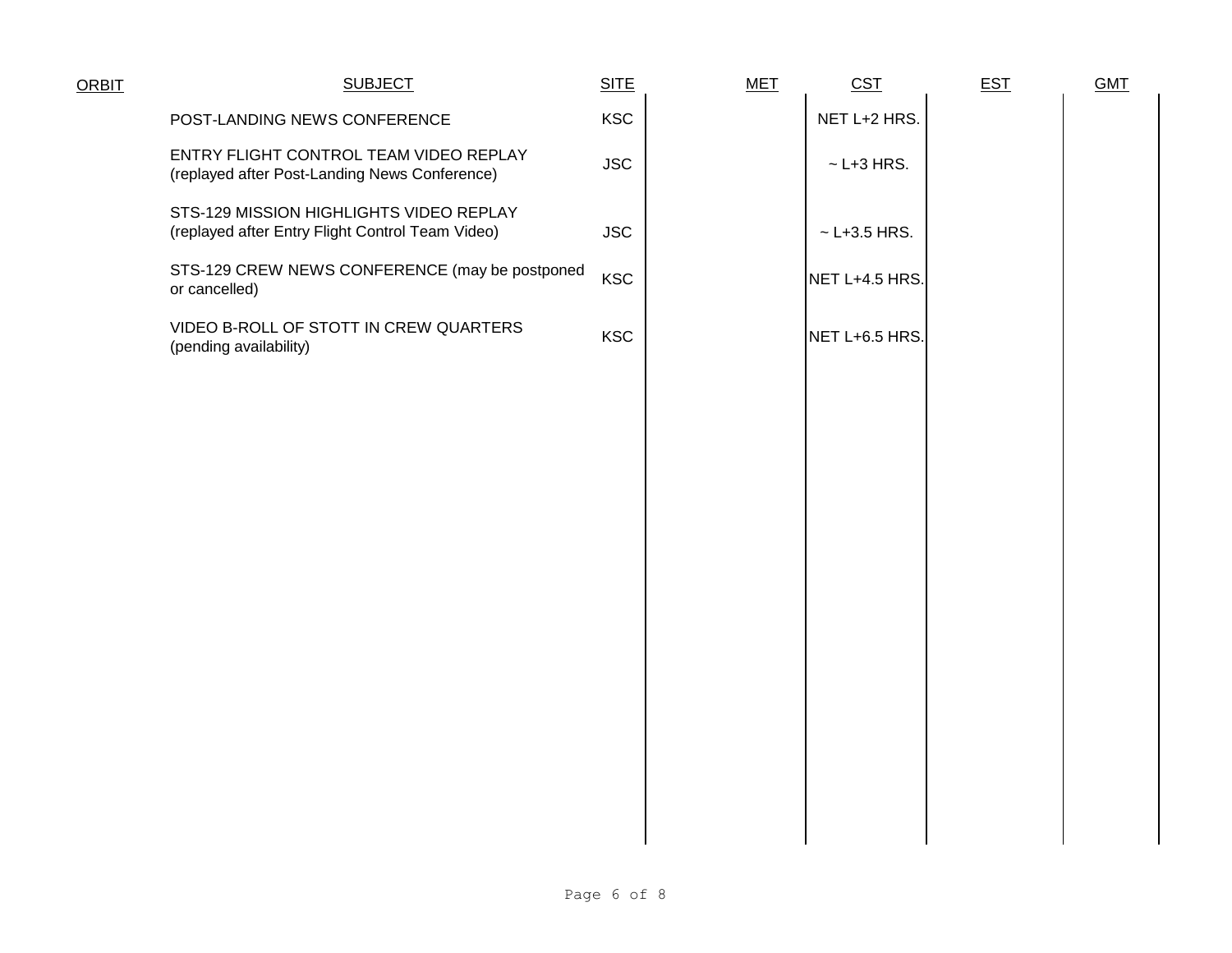| <b>ORBIT</b> | <b>SUBJECT</b>                                                                              | <b>SITE</b> | <b>MET</b> | CST                | <b>EST</b> | <b>GMT</b> |
|--------------|---------------------------------------------------------------------------------------------|-------------|------------|--------------------|------------|------------|
|              | POST-LANDING NEWS CONFERENCE                                                                | <b>KSC</b>  |            | NET L+2 HRS.       |            |            |
|              | ENTRY FLIGHT CONTROL TEAM VIDEO REPLAY<br>(replayed after Post-Landing News Conference)     | <b>JSC</b>  |            | $\sim$ L+3 HRS.    |            |            |
|              | STS-129 MISSION HIGHLIGHTS VIDEO REPLAY<br>(replayed after Entry Flight Control Team Video) | <b>JSC</b>  |            | $~\sim$ L+3.5 HRS. |            |            |
|              | STS-129 CREW NEWS CONFERENCE (may be postponed<br>or cancelled)                             | <b>KSC</b>  |            | NET L+4.5 HRS.     |            |            |
|              | VIDEO B-ROLL OF STOTT IN CREW QUARTERS<br>(pending availability)                            | <b>KSC</b>  |            | NET L+6.5 HRS.     |            |            |
|              |                                                                                             |             |            |                    |            |            |
|              |                                                                                             |             |            |                    |            |            |
|              |                                                                                             |             |            |                    |            |            |
|              |                                                                                             |             |            |                    |            |            |
|              |                                                                                             |             |            |                    |            |            |
|              |                                                                                             |             |            |                    |            |            |
|              |                                                                                             |             |            |                    |            |            |
|              |                                                                                             |             |            |                    |            |            |
|              |                                                                                             |             |            |                    |            |            |
|              |                                                                                             |             |            |                    |            |            |
|              |                                                                                             |             |            |                    |            |            |
|              |                                                                                             |             |            |                    |            |            |
|              |                                                                                             |             |            |                    |            |            |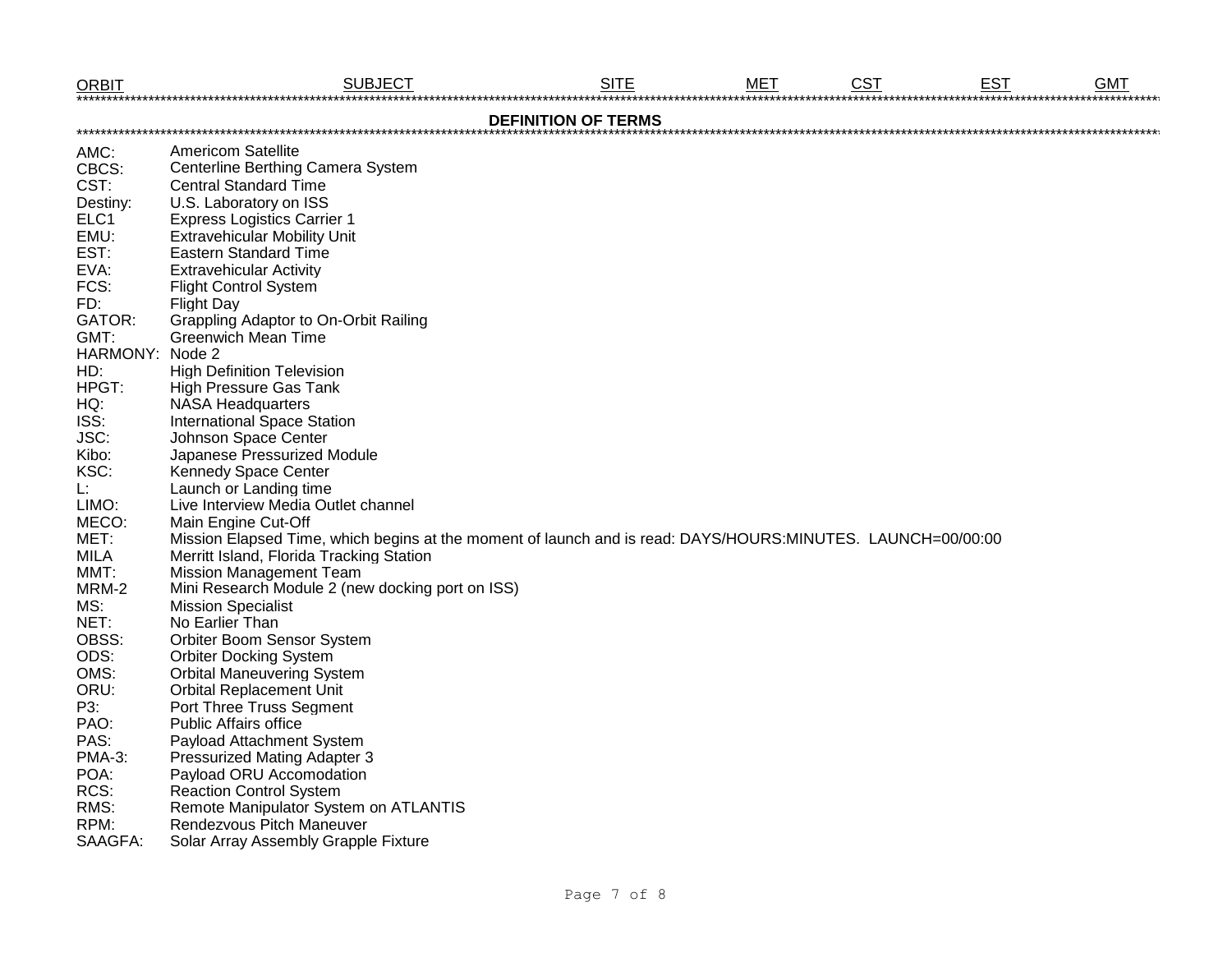| <b>ORBIT</b>    | <b>SUBJECT</b>                                                                                              | <b>SITE</b>                | <b>MET</b> | <b>CST</b> | <b>EST</b> | <b>GMT</b> |
|-----------------|-------------------------------------------------------------------------------------------------------------|----------------------------|------------|------------|------------|------------|
|                 |                                                                                                             | <b>DEFINITION OF TERMS</b> |            |            |            |            |
| AMC:            | <b>Americom Satellite</b>                                                                                   |                            |            |            |            |            |
| CBCS:           | Centerline Berthing Camera System                                                                           |                            |            |            |            |            |
| CST:            | <b>Central Standard Time</b>                                                                                |                            |            |            |            |            |
| Destiny:        | U.S. Laboratory on ISS                                                                                      |                            |            |            |            |            |
| ELC1            | <b>Express Logistics Carrier 1</b>                                                                          |                            |            |            |            |            |
| EMU:            | <b>Extravehicular Mobility Unit</b>                                                                         |                            |            |            |            |            |
| EST:            | <b>Eastern Standard Time</b>                                                                                |                            |            |            |            |            |
| EVA:            | <b>Extravehicular Activity</b>                                                                              |                            |            |            |            |            |
| FCS:            | <b>Flight Control System</b>                                                                                |                            |            |            |            |            |
| FD:             | <b>Flight Day</b>                                                                                           |                            |            |            |            |            |
| GATOR:          | <b>Grappling Adaptor to On-Orbit Railing</b>                                                                |                            |            |            |            |            |
| GMT:            | <b>Greenwich Mean Time</b>                                                                                  |                            |            |            |            |            |
| HARMONY: Node 2 |                                                                                                             |                            |            |            |            |            |
| HD:             | <b>High Definition Television</b>                                                                           |                            |            |            |            |            |
| HPGT:           | <b>High Pressure Gas Tank</b>                                                                               |                            |            |            |            |            |
| HQ:             | <b>NASA Headquarters</b>                                                                                    |                            |            |            |            |            |
| ISS:            | <b>International Space Station</b>                                                                          |                            |            |            |            |            |
| JSC:            | Johnson Space Center                                                                                        |                            |            |            |            |            |
| Kibo:           | Japanese Pressurized Module                                                                                 |                            |            |            |            |            |
| KSC:            | <b>Kennedy Space Center</b>                                                                                 |                            |            |            |            |            |
| Ŀ.              | Launch or Landing time                                                                                      |                            |            |            |            |            |
| LIMO:           | Live Interview Media Outlet channel                                                                         |                            |            |            |            |            |
| MECO:           | Main Engine Cut-Off                                                                                         |                            |            |            |            |            |
| MET:            | Mission Elapsed Time, which begins at the moment of launch and is read: DAYS/HOURS:MINUTES. LAUNCH=00/00:00 |                            |            |            |            |            |
| MILA            | Merritt Island, Florida Tracking Station                                                                    |                            |            |            |            |            |
| MMT:            | <b>Mission Management Team</b>                                                                              |                            |            |            |            |            |
| MRM-2           | Mini Research Module 2 (new docking port on ISS)                                                            |                            |            |            |            |            |
| MS:             | <b>Mission Specialist</b>                                                                                   |                            |            |            |            |            |
| NET:            | No Earlier Than                                                                                             |                            |            |            |            |            |
| OBSS:           | Orbiter Boom Sensor System                                                                                  |                            |            |            |            |            |
| ODS:            | <b>Orbiter Docking System</b>                                                                               |                            |            |            |            |            |
| OMS:            | <b>Orbital Maneuvering System</b>                                                                           |                            |            |            |            |            |
| ORU:            | <b>Orbital Replacement Unit</b>                                                                             |                            |            |            |            |            |
| P3:             | Port Three Truss Segment                                                                                    |                            |            |            |            |            |
| PAO:            | <b>Public Affairs office</b>                                                                                |                            |            |            |            |            |
| PAS:            | Payload Attachment System                                                                                   |                            |            |            |            |            |
| <b>PMA-3:</b>   | <b>Pressurized Mating Adapter 3</b>                                                                         |                            |            |            |            |            |
| POA:            | Payload ORU Accomodation                                                                                    |                            |            |            |            |            |
| RCS:            | <b>Reaction Control System</b>                                                                              |                            |            |            |            |            |
| RMS:            | Remote Manipulator System on ATLANTIS                                                                       |                            |            |            |            |            |
| RPM:            | Rendezvous Pitch Maneuver                                                                                   |                            |            |            |            |            |
| SAAGFA:         | Solar Array Assembly Grapple Fixture                                                                        |                            |            |            |            |            |